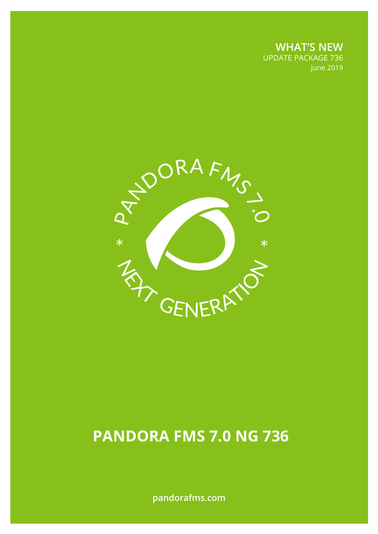**WHAT'S NEW** UPDATE PACKAGE 736 June 2019



# **PANDORA FMS 7.0 NG 736**

**pandorafms.com**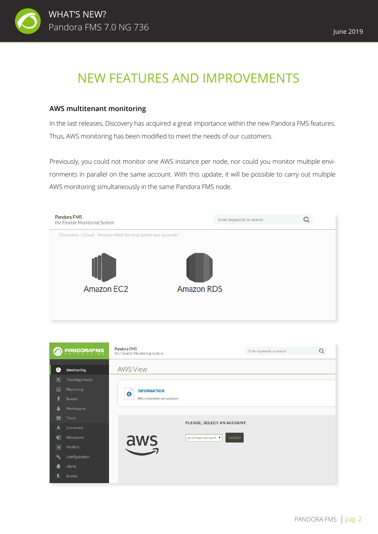

## NEW FEATURES AND IMPROVEMENTS

#### **AWS multitenant monitoring**

In the last releases, Discovery has acquired a great importance within the new Pandora FMS features. Thus, AWS monitoring has been modified to meet the needs of our customers.

Previously, you could not monitor one AWS instance per node, nor could you monitor multiple environments in parallel on the same account. With this update, it will be possible to carry out multiple AWS monitoring simultaneously in the same Pandora FMS node.



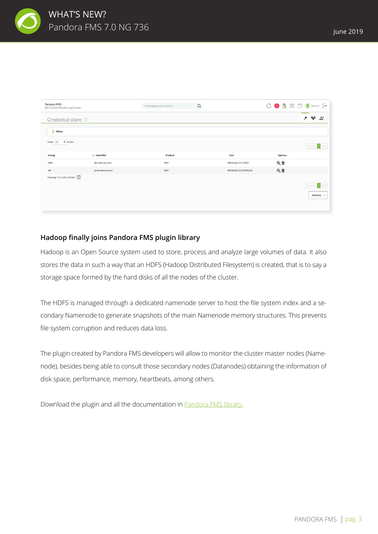

| Pandora FMS<br>the Flexible Monitoring System |                  | Enter keywords to search | $\alpha$ |                      | $\begin{array}{ccc} \mathbf{C} & \mathbf{2} & \mathbf{R} & \mathbf{X} & \mathbf{I} & \mathbf{Q} \end{array}$ |                 |
|-----------------------------------------------|------------------|--------------------------|----------|----------------------|--------------------------------------------------------------------------------------------------------------|-----------------|
| Credential store <sup>®</sup>                 |                  |                          |          |                      |                                                                                                              | ۹<br>77.<br>畵   |
| $\sum$ Filter                                 |                  |                          |          |                      |                                                                                                              |                 |
| Show 20<br>$\bullet$ entries                  |                  |                          |          |                      |                                                                                                              | Previous 1 Next |
| Group                                         | A Identifier     | Product                  |          | User                 | <b>Options</b>                                                                                               |                 |
| Web                                           | dev-aws-account  | AWS                      |          | AKOAZEJ2LSF1ASFQ1    | Q面                                                                                                           |                 |
| $\mathsf{All}$                                | prod-aws-account | AWS                      |          | AKOAZEJ2LSF2Q5RBLJV2 | Q面                                                                                                           |                 |
| Showing 1 to 2 of 2 entries $\boxed{.a}$ ,    |                  |                          |          |                      |                                                                                                              |                 |
|                                               |                  |                          |          |                      |                                                                                                              | Previous 1 Next |
|                                               |                  |                          |          |                      |                                                                                                              | Add key >       |
|                                               |                  |                          |          |                      |                                                                                                              |                 |

#### **Hadoop finally joins Pandora FMS plugin library**

Hadoop is an Open Source system used to store, process and analyze large volumes of data. It also stores the data in such a way that an HDFS (Hadoop Distributed Filesystem) is created, that is to say a storage space formed by the hard disks of all the nodes of the cluster.

The HDFS is managed through a dedicated namenode server to host the file system index and a secondary Namenode to generate snapshots of the main Namenode memory structures. This prevents file system corruption and reduces data loss.

The plugin created by Pandora FMS developers will allow to monitor the cluster master nodes (Namenode), besides being able to consult those secondary nodes (Datanodes) obtaining the information of disk space, performance, memory, heartbeats, among others.

Download the plugin and all the documentation in **Pandora FMS library**.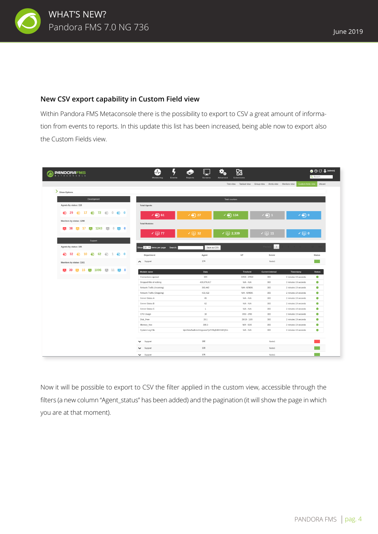

#### **New CSV export capability in Custom Field view**

Within Pandora FMS Metaconsole there is the possibility to export to CSV a great amount of information from events to reports. In this update this list has been increased, being able now to export also the Custom Fields view.

| <b>PANDORAFMS</b>                                                        |                                  | I<br>ю                                   | 郘               |                                                              | O ( ) ( ) & (admin)               |
|--------------------------------------------------------------------------|----------------------------------|------------------------------------------|-----------------|--------------------------------------------------------------|-----------------------------------|
|                                                                          | Events<br>Monitoring             | Reports<br>Screens<br>Advanced           | Extensions      |                                                              | Q Search                          |
|                                                                          |                                  |                                          |                 | Tree view Tactical view Group view Alerts view Monitors view | Wizard<br>Custom fields view      |
| Show Options                                                             |                                  |                                          |                 |                                                              |                                   |
| Development                                                              |                                  | Total counters                           |                 |                                                              |                                   |
| Agents by status: 118                                                    | <b>Total Agents</b>              |                                          |                 |                                                              |                                   |
| $\bigoplus$ 29 $\bigoplus$ 17 $\bigoplus$ 72 $\bigoplus$ 0 $\bigoplus$ 0 | $\sqrt{6}$ 61                    | $\sqrt{6}$ 27<br>$\sqrt{2}$ 134          |                 | $\sqrt{21}$                                                  | $\sqrt{2}$ 0                      |
| Monitors by status: 1298                                                 |                                  |                                          |                 |                                                              |                                   |
| 38 22 17 22 1243 22 0 22 0<br>$\Delta\mathbf{A}_{\mathrm{m}}$            | <b>Total Modules</b>             |                                          |                 |                                                              |                                   |
| Support                                                                  | ✔   177                          | ✔ 四 32<br>$\sqrt{2}$ 2,339               |                 | $\sqrt{60}11$                                                | ✔耍0                               |
| Agents by status: 105                                                    | Show 20 V items per page Search: | Save as CSV                              |                 | $\vert$ 1                                                    |                                   |
| $\bigoplus$ 32 $\bigoplus$ 10 $\bigoplus$ 62 $\bigoplus$ 1 $\bigoplus$ 0 | Department                       | Agent                                    | I.P             | Server                                                       | <b>Status</b>                     |
| Monitors by status: 1161                                                 | $\blacktriangle$ Support         | 174                                      |                 | Nodo1                                                        |                                   |
| 2 39 4 15 4 1096 4 11 4 0                                                |                                  |                                          |                 |                                                              |                                   |
|                                                                          | Module name                      | Data                                     | Treshold        | <b>Current interval</b>                                      | <b>Status</b><br>Timestamp        |
|                                                                          | Connections opened               | 323                                      | $0/400 - 0/450$ | 300                                                          | $\bullet$<br>2 minutes 19 seconds |
|                                                                          | Dropped Bits of nothing          | 415,576,817                              | N/A - N/A       | 300                                                          | $\bullet$<br>2 minutes 19 seconds |
|                                                                          | Network Traffic (Incoming)       | 360,442                                  | N/A - 0/900K    | 300                                                          | $\bullet$<br>2 minutes 19 seconds |
|                                                                          | Network Traffic (Outgoing)       | 433,422                                  | N/A - 0/900K    | 300                                                          | $\bullet$<br>2 minutes 19 seconds |
|                                                                          | Server Status A                  | 65                                       | $N/A - N/A$     | 300                                                          | $\bullet$<br>2 minutes 19 seconds |
|                                                                          | Server Status B                  | 62                                       | N/A - N/A       | 300                                                          | $\bullet$<br>2 minutes 19 seconds |
|                                                                          | Server Status C                  | $\mathbf{1}$                             | N/A - N/A       | 300                                                          | $\bullet$<br>2 minutes 19 seconds |
|                                                                          | CPU Usage                        | $10$                                     | $0/60 - 0/90$   | 300                                                          | $\bullet$<br>2 minutes 19 seconds |
|                                                                          | Disk_Free                        | 20.1                                     | 20/10 - 10/0    | 300                                                          | $\bullet$<br>2 minutes 19 seconds |
|                                                                          | Memory_free                      | 308.3                                    | N/A - 50/0      | 300                                                          | $\bullet$<br>2 minutes 19 seconds |
|                                                                          | System Log File                  | lqtcUfoteAad1nixCmgvxawYjzFYBqfGl6OGMQ9m | N/A - N/A       | 300                                                          | $\bullet$<br>2 minutes 19 seconds |
|                                                                          | $\blacktriangleright$ Support    | 182                                      |                 | Nodo1                                                        |                                   |
|                                                                          | $\blacktriangleright$ Support    | 133                                      |                 | Nodo1                                                        |                                   |
|                                                                          | $\blacktriangleright$ Support    | 176                                      |                 | Nodo1                                                        |                                   |

Now it will be possible to export to CSV the filter applied in the custom view, accessible through the filters (a new column "Agent\_status" has been added) and the pagination (it will show the page in which you are at that moment).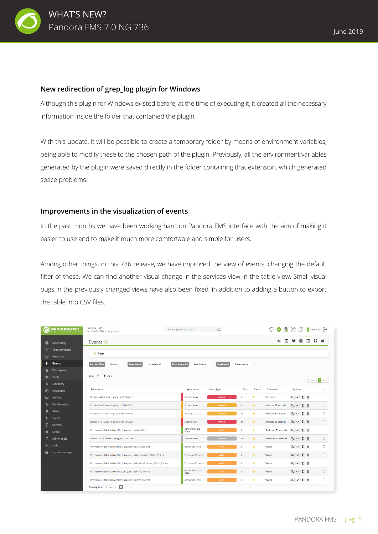

#### **New redirection of grep\_log plugin for Windows**

Although this plugin for Windows existed before, at the time of executing it, it created all the necessary information inside the folder that contained the plugin.

With this update, it will be possible to create a temporary folder by means of environment variables, being able to modify these to the chosen path of the plugin. Previously, all the environment variables generated by the plugin were saved directly in the folder containing that extension, which generated space problems.

#### **Improvements in the visualization of events**

In the past months we have been working hard on Pandora FMS interface with the aim of making it easier to use and to make it much more comfortable and simple for users.

Among other things, in this 736 release, we have improved the view of events, changing the default filter of these. We can find another visual change in the services view in the table view. Small visual bugs in the previously changed views have also been fixed, in addition to adding a button to export the table into CSV files.

|             | <b>PANDORAFMS</b>                        | Pandora FMS<br>the Flexible Monitoring System                                   | Enter keywords to search |                         | $\alpha$          |                     |               | $\bigcirc$ R $\%$ $\Box$<br>G |          |              |            | $\bigcirc$ (slerena) $\bigcap$ |        |
|-------------|------------------------------------------|---------------------------------------------------------------------------------|--------------------------|-------------------------|-------------------|---------------------|---------------|-------------------------------|----------|--------------|------------|--------------------------------|--------|
| $\bullet$   | Monitoring                               | Events <sup>®</sup>                                                             |                          |                         |                   |                     |               | ,a,<br>$\blacktriangleleft 0$ | ∙        | l Di         | $\sqrt{2}$ | н                              | 者      |
| 26<br>回     | <b>Topology maps</b><br><b>Reporting</b> | $\triangleright$ Filter                                                         |                          |                         |                   |                     |               |                               |          |              |            |                                |        |
| и           | <b>Events</b>                            | <b>Current filter</b><br><b>Event status</b><br>Not validated.<br>Not set.      | Max. hours old           | Last 8 hours.           | <b>Duplicated</b> | <b>Group events</b> |               |                               |          |              |            |                                |        |
|             | Workspace                                |                                                                                 |                          |                         |                   |                     |               |                               |          |              |            |                                |        |
| ℀           | <b>Tools</b>                             | Show 25 entries                                                                 |                          |                         |                   |                     |               |                               |          |              |            | Previous 1                     | Next   |
|             | <b>Discovery</b>                         |                                                                                 |                          |                         |                   |                     |               |                               |          |              |            |                                |        |
| ۹           | <b>Resources</b>                         | Event name                                                                      |                          | Agent name              | <b>Event Type</b> | Data                | <b>Status</b> | Timestamp                     |          | Options      |            |                                | n      |
| $\boxed{2}$ | <b>Profiles</b>                          | Module '24x7 tickets' is going to CRITICAL (1)                                  |                          | Soporte Artica          | CRITICAL          | 1                   | ÷             | 20 seconds                    | $Q \vee$ |              | <b>X</b> 命 |                                | $\Box$ |
|             | Configuration                            | Module 'New Tickets' is going to WARNING (1)                                    |                          | Soporte Artica          | <b>WARNING</b>    | f.                  | $\star$       | 2 minutes 33 seconds          | Q        | $\checkmark$ | <b>X</b> 命 |                                | 0      |
|             | <b>Alerts</b>                            | Module 'CPU IOWait' is going to WARNING (12)                                    |                          | abstergo.artica.es      | <b>WARNING</b>    | 12 <sup>2</sup>     | $\star$       | 2 minutes 59 seconds          | Q        | $\checkmark$ | <b>X</b> 命 |                                | $\Box$ |
|             | <b>Events</b>                            | Module 'CPU IOWait' is going to CRITICAL (24)                                   |                          | Gatomon QA              | <b>CRITICAL</b>   | 24                  | $\star$       | 5 minutes 53 seconds          | Q        | $\checkmark$ | <b>X</b> 命 |                                | n.     |
| F           | <b>Servers</b>                           |                                                                                 |                          | pandorafms.org-         | <b>ALERT</b>      | 1                   |               |                               |          |              |            |                                | $\Box$ |
|             | Setup                                    | Alert recovered (Critical condition) assigned to (Host Alive)                   |                          | forum                   |                   |                     | $\star$       | 23 minutes 01 seconds         | Q        | $\checkmark$ | 又一击        |                                |        |
| П           | <b>Admin tools</b>                       | Module 'Active tickets' is going to UNKNOWN                                     |                          | Soporte Artica          | <b>UNKNOWN</b>    | 469                 | $\star$       | 35 minutes 13 seconds         | Q        | $\checkmark$ | 又而         |                                | O.     |
| ್ಲ          | Links                                    | Alert recovered (Critical condition) assigned to (Packages lost)                |                          | Router Vodafone         | <b>ALERT</b>      | $\bullet$           | $\star$       | 4 hours                       | Q        | $\checkmark$ | <b>X</b> 面 |                                | $\Box$ |
| ◙           | Update manager                           | Alert recovered (Critical condition) assigned to (Wiki pandora_Global_Status)   |                          | Comunicación webs       | <b>ALERT</b>      | -1                  | $\star$       | 7 hours                       | Q        | $\checkmark$ | <b>X</b> 前 |                                | $\Box$ |
|             |                                          | Alert recovered (Critical condition) assigned to (Pandorafms.com Global Status) |                          | Comunicación webs       | <b>ALERT</b>      | -1                  | $\star$       | 7 hours                       | Q        | $\checkmark$ | <b>X</b> 面 |                                | $\Box$ |
|             |                                          | Alert recovered (Critical condition) assigned to (HTTP_Content)                 |                          | pandorafms.com-<br>docs | <b>ALERT</b>      | 1                   | $\star$       | 7 hours                       | Q        | $\checkmark$ | <b>X</b> 面 |                                | $\Box$ |
|             |                                          | Alert recovered (Critical condition) assigned to (HTTP_Content)                 |                          | pandorafms.com          | <b>ALERT</b>      | -1                  | $\star$       | 7 hours                       | Q        | $\checkmark$ | <b>X</b> 命 |                                | $\Box$ |
|             |                                          | Showing 1 to 11 of 11 entries [,a,]                                             |                          |                         |                   |                     |               |                               |          |              |            |                                |        |